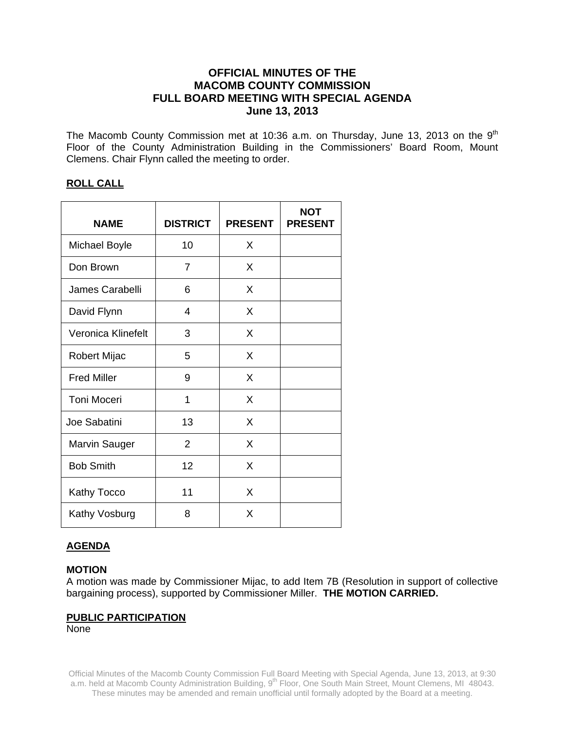# **OFFICIAL MINUTES OF THE MACOMB COUNTY COMMISSION FULL BOARD MEETING WITH SPECIAL AGENDA June 13, 2013**

The Macomb County Commission met at 10:36 a.m. on Thursday, June 13, 2013 on the  $9<sup>th</sup>$ Floor of the County Administration Building in the Commissioners' Board Room, Mount Clemens. Chair Flynn called the meeting to order.

# **ROLL CALL**

| <b>NAME</b>          | <b>DISTRICT</b> | <b>PRESENT</b> | <b>NOT</b><br><b>PRESENT</b> |
|----------------------|-----------------|----------------|------------------------------|
| <b>Michael Boyle</b> | 10              | X              |                              |
| Don Brown            | 7               | X              |                              |
| James Carabelli      | 6               | X              |                              |
| David Flynn          | $\overline{4}$  | X              |                              |
| Veronica Klinefelt   | 3               | X              |                              |
| Robert Mijac         | 5               | X              |                              |
| <b>Fred Miller</b>   | 9               | X              |                              |
| <b>Toni Moceri</b>   | 1               | X              |                              |
| Joe Sabatini         | 13              | X              |                              |
| Marvin Sauger        | 2               | X              |                              |
| <b>Bob Smith</b>     | 12              | X              |                              |
| Kathy Tocco          | 11              | X              |                              |
| Kathy Vosburg        | 8               | X              |                              |

# **AGENDA**

# **MOTION**

A motion was made by Commissioner Mijac, to add Item 7B (Resolution in support of collective bargaining process), supported by Commissioner Miller. **THE MOTION CARRIED.** 

### **PUBLIC PARTICIPATION**

None

Official Minutes of the Macomb County Commission Full Board Meeting with Special Agenda, June 13, 2013, at 9:30 a.m. held at Macomb County Administration Building, 9<sup>th</sup> Floor, One South Main Street, Mount Clemens, MI 48043. These minutes may be amended and remain unofficial until formally adopted by the Board at a meeting.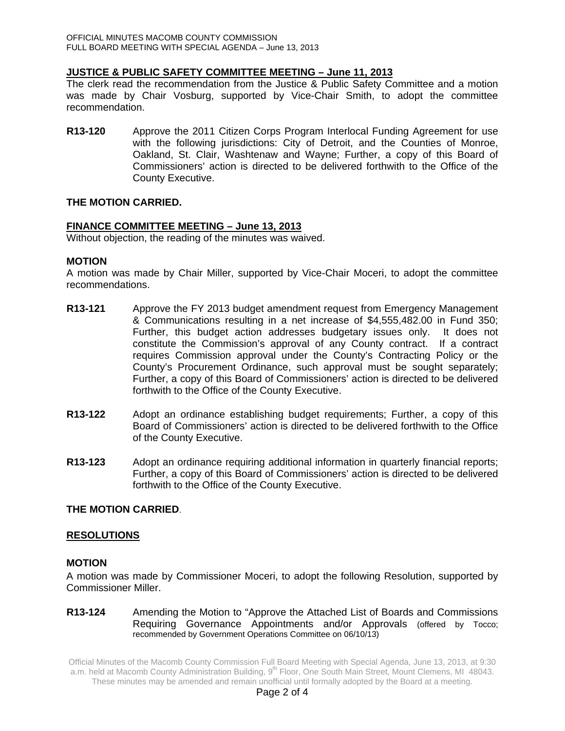# **JUSTICE & PUBLIC SAFETY COMMITTEE MEETING – June 11, 2013**

The clerk read the recommendation from the Justice & Public Safety Committee and a motion was made by Chair Vosburg, supported by Vice-Chair Smith, to adopt the committee recommendation.

**R13-120** Approve the 2011 Citizen Corps Program Interlocal Funding Agreement for use with the following jurisdictions: City of Detroit, and the Counties of Monroe, Oakland, St. Clair, Washtenaw and Wayne; Further, a copy of this Board of Commissioners' action is directed to be delivered forthwith to the Office of the County Executive.

# **THE MOTION CARRIED.**

# **FINANCE COMMITTEE MEETING – June 13, 2013**

Without objection, the reading of the minutes was waived.

### **MOTION**

A motion was made by Chair Miller, supported by Vice-Chair Moceri, to adopt the committee recommendations.

- **R13-121** Approve the FY 2013 budget amendment request from Emergency Management & Communications resulting in a net increase of \$4,555,482.00 in Fund 350; Further, this budget action addresses budgetary issues only. It does not constitute the Commission's approval of any County contract. If a contract requires Commission approval under the County's Contracting Policy or the County's Procurement Ordinance, such approval must be sought separately; Further, a copy of this Board of Commissioners' action is directed to be delivered forthwith to the Office of the County Executive.
- **R13-122** Adopt an ordinance establishing budget requirements; Further, a copy of this Board of Commissioners' action is directed to be delivered forthwith to the Office of the County Executive.
- **R13-123** Adopt an ordinance requiring additional information in quarterly financial reports; Further, a copy of this Board of Commissioners' action is directed to be delivered forthwith to the Office of the County Executive.

### **THE MOTION CARRIED**.

### **RESOLUTIONS**

### **MOTION**

A motion was made by Commissioner Moceri, to adopt the following Resolution, supported by Commissioner Miller.

### **R13-124** Amending the Motion to "Approve the Attached List of Boards and Commissions Requiring Governance Appointments and/or Approvals (offered by Tocco; recommended by Government Operations Committee on 06/10/13)

Official Minutes of the Macomb County Commission Full Board Meeting with Special Agenda, June 13, 2013, at 9:30 a.m. held at Macomb County Administration Building, 9<sup>th</sup> Floor, One South Main Street, Mount Clemens, MI 48043. These minutes may be amended and remain unofficial until formally adopted by the Board at a meeting.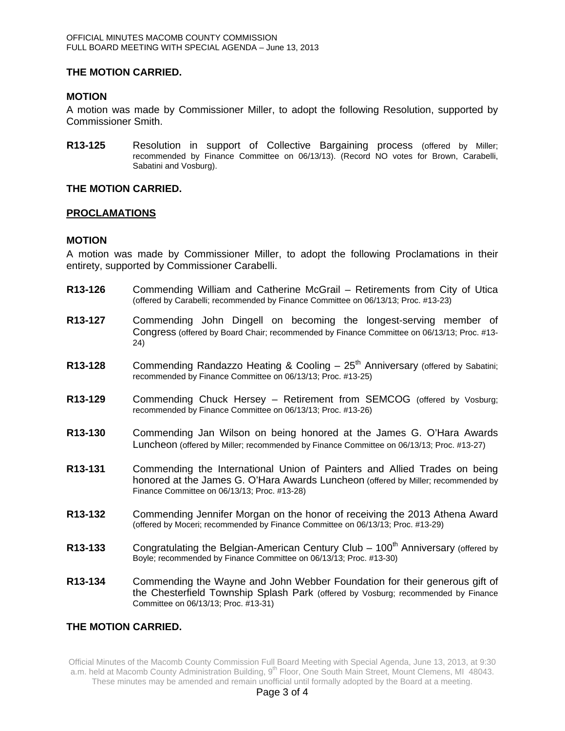# **THE MOTION CARRIED.**

## **MOTION**

A motion was made by Commissioner Miller, to adopt the following Resolution, supported by Commissioner Smith.

**R13-125** Resolution in support of Collective Bargaining process (offered by Miller; recommended by Finance Committee on 06/13/13). (Record NO votes for Brown, Carabelli, Sabatini and Vosburg).

### **THE MOTION CARRIED.**

### **PROCLAMATIONS**

# **MOTION**

A motion was made by Commissioner Miller, to adopt the following Proclamations in their entirety, supported by Commissioner Carabelli.

- **R13-126** Commending William and Catherine McGrail Retirements from City of Utica (offered by Carabelli; recommended by Finance Committee on 06/13/13; Proc. #13-23)
- **R13-127** Commending John Dingell on becoming the longest-serving member of Congress (offered by Board Chair; recommended by Finance Committee on 06/13/13; Proc. #13- 24)
- **R13-128** Commending Randazzo Heating & Cooling 25<sup>th</sup> Anniversary (offered by Sabatini; recommended by Finance Committee on 06/13/13; Proc. #13-25)
- **R13-129** Commending Chuck Hersey Retirement from SEMCOG (offered by Vosburg; recommended by Finance Committee on 06/13/13; Proc. #13-26)
- **R13-130** Commending Jan Wilson on being honored at the James G. O'Hara Awards Luncheon (offered by Miller; recommended by Finance Committee on 06/13/13; Proc. #13-27)
- **R13-131** Commending the International Union of Painters and Allied Trades on being honored at the James G. O'Hara Awards Luncheon (offered by Miller; recommended by Finance Committee on 06/13/13; Proc. #13-28)
- **R13-132** Commending Jennifer Morgan on the honor of receiving the 2013 Athena Award (offered by Moceri; recommended by Finance Committee on 06/13/13; Proc. #13-29)
- **R13-133** Congratulating the Belgian-American Century Club 100<sup>th</sup> Anniversary (offered by Boyle; recommended by Finance Committee on 06/13/13; Proc. #13-30)
- **R13-134** Commending the Wayne and John Webber Foundation for their generous gift of the Chesterfield Township Splash Park (offered by Vosburg; recommended by Finance Committee on 06/13/13; Proc. #13-31)

# **THE MOTION CARRIED.**

Official Minutes of the Macomb County Commission Full Board Meeting with Special Agenda, June 13, 2013, at 9:30 a.m. held at Macomb County Administration Building, 9<sup>th</sup> Floor, One South Main Street, Mount Clemens, MI 48043. These minutes may be amended and remain unofficial until formally adopted by the Board at a meeting.